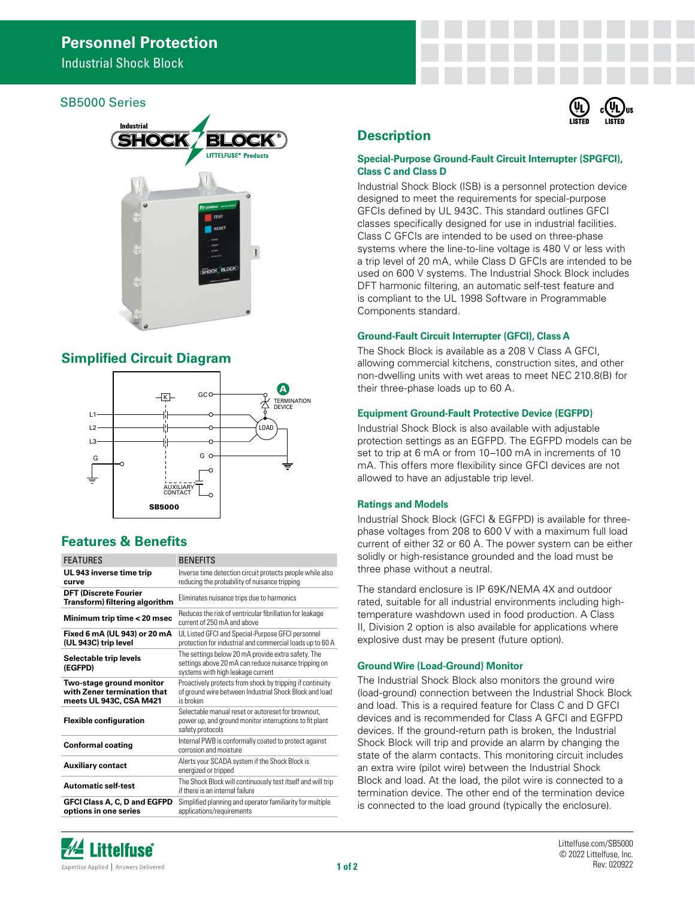Industrial Shock Block

## SB5000 Series



# **Simplified Circuit Diagram**



# **Features & Benefits**

| <b>FEATURES</b>                                                                    | <b>BENEFITS</b>                                                                                                                                 |
|------------------------------------------------------------------------------------|-------------------------------------------------------------------------------------------------------------------------------------------------|
| UL 943 inverse time trip<br>curve                                                  | Inverse time detection circuit protects people while also<br>reducing the probability of nuisance tripping                                      |
| <b>DFT (Discrete Fourier</b><br>Transform) filtering algorithm                     | Eliminates nuisance trips due to harmonics                                                                                                      |
| Minimum trip time < 20 msec                                                        | Reduces the risk of ventricular fibrillation for leakage<br>current of 250 mA and above                                                         |
| Fixed 6 mA (UL 943) or 20 mA<br>(UL 943C) trip level                               | UL Listed GFCI and Special-Purpose GFCI personnel<br>protection for industrial and commercial loads up to 60 A                                  |
| Selectable trip levels<br>(EGFPD)                                                  | The settings below 20 mA provide extra safety. The<br>settings above 20 mA can reduce nuisance tripping on<br>systems with high leakage current |
| Two-stage ground monitor<br>with Zener termination that<br>meets UL 943C, CSA M421 | Proactively protects from shock by tripping if continuity<br>of ground wire between Industrial Shock Block and load<br>is broken                |
| <b>Flexible configuration</b>                                                      | Selectable manual reset or autoreset for brownout.<br>power up, and ground monitor interruptions to fit plant<br>safety protocols               |
| <b>Conformal coating</b>                                                           | Internal PWB is conformally coated to protect against<br>corrosion and moisture                                                                 |
| <b>Auxiliary contact</b>                                                           | Alerts your SCADA system if the Shock Block is<br>energized or tripped                                                                          |
| Automatic self-test                                                                | The Shock Block will continuously test itself and will trip<br>if there is an internal failure                                                  |
| GFCI Class A, C, D and EGFPD<br>options in one series                              | Simplified planning and operator familiarity for multiple<br>applications/requirements                                                          |

# 'ns

# **Description**

## **Special-Purpose Ground-Fault Circuit Interrupter (SPGFCI), Class C and Class D**

Industrial Shock Block (ISB) is a personnel protection device designed to meet the requirements for special-purpose GFCIs defined by UL 943C. This standard outlines GFCI classes specifically designed for use in industrial facilities. Class C GFCIs are intended to be used on three-phase systems where the line-to-line voltage is 480 V or less with a trip level of 20 mA, while Class D GFCIs are intended to be used on 600 V systems. The Industrial Shock Block includes DFT harmonic filtering, an automatic self-test feature and is compliant to the UL 1998 Software in Programmable Components standard.

## **Ground-Fault Circuit Interrupter (GFCI), Class A**

The Shock Block is available as a 208 V Class A GFCI, allowing commercial kitchens, construction sites, and other non-dwelling units with wet areas to meet NEC 210.8(B) for their three-phase loads up to 60 A.

## **Equipment Ground-Fault Protective Device (EGFPD)**

Industrial Shock Block is also available with adjustable protection settings as an EGFPD. The EGFPD models can be set to trip at 6 mA or from 10–100 mA in increments of 10 mA. This offers more flexibility since GFCI devices are not allowed to have an adjustable trip level.

## **Ratings and Models**

Industrial Shock Block (GFCI & EGFPD) is available for threephase voltages from 208 to 600 V with a maximum full load current of either 32 or 60 A. The power system can be either solidly or high-resistance grounded and the load must be three phase without a neutral.

The standard enclosure is IP 69K/NEMA 4X and outdoor rated, suitable for all industrial environments including hightemperature washdown used in food production. A Class II, Division 2 option is also available for applications where explosive dust may be present (future option).

## **Ground Wire (Load-Ground) Monitor**

The Industrial Shock Block also monitors the ground wire (load-ground) connection between the Industrial Shock Block and load. This is a required feature for Class C and D GFCI devices and is recommended for Class A GFCI and EGFPD devices. If the ground-return path is broken, the Industrial Shock Block will trip and provide an alarm by changing the state of the alarm contacts. This monitoring circuit includes an extra wire (pilot wire) between the Industrial Shock Block and load. At the load, the pilot wire is connected to a termination device. The other end of the termination device is connected to the load ground (typically the enclosure).